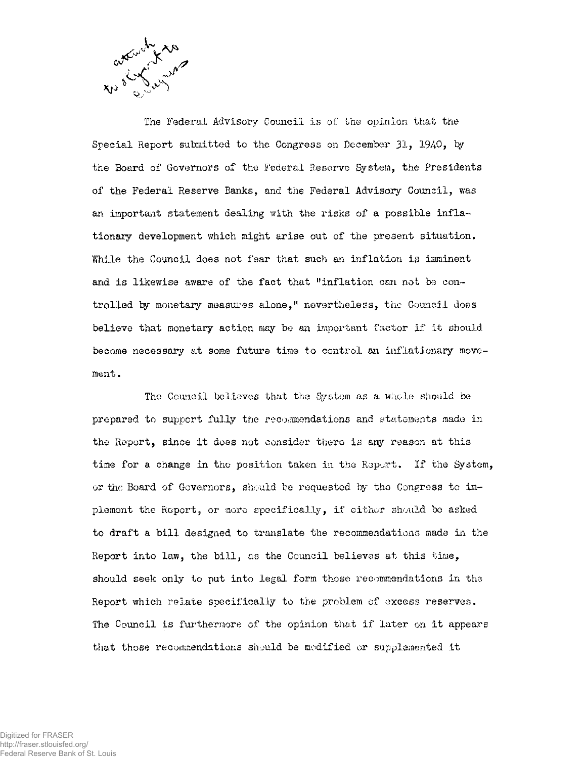

The Federal Advisory Council is of the opinion that the Special Report submitted to the Congress on December  $31$ ,  $1940$ , by the Board of Governors of the Federal Reserve System, the Presidents of the Federal Reserve Banks, and the Federal Advisory Council, was an important statement dealing with the risks of a possible inflationary development which might arise out of the present situation. **While** the Council does not fear that such an inflation is imminent and is likewise aware of the fact that "inflation can not be controlled by monetary measures alone," nevertheless, the Council does believe that monetary action may be an important factor if it should become necessary at some future time to control an inflationary movement .

The Council believes that the System as a whole should be prepared to support fully the recoaimondations and statements made in the Report, since it does not consider there is any reason at this time for a change in the position taken in the Report. If the System, or the Board of Governors, should be requested by the Congress to implement the Report, or more specifically, if either should be asked to draft a bill designed to translate the recommendations made in the Report into law, the bill, as the Council believes at this time, should seek only to put into legal form those recommendations in the Report which relate specifically to the problem of excess reserves. The Council is furthermore of the opinion that if later on it appears that those recommendations should be modified or supplemented it